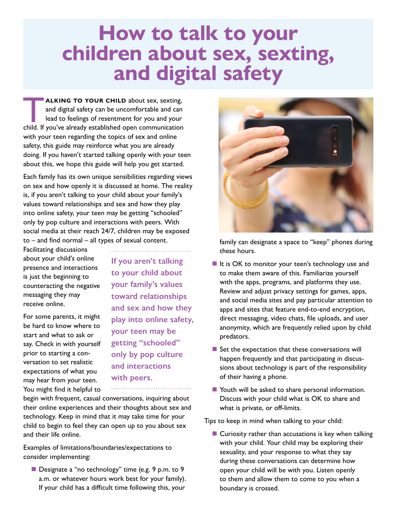# **How to talk to your children about sex, sexting, and digital safety**

**ALKING TO YOUR CHILD** about sex, sexting,<br>and digital safety can be uncomfortable and can<br>lead to feelings of resentment for you and your<br>child. If you've already established open communication and digital safety can be uncomfortable and can lead to feelings of resentment for you and your child. If you've already established open communication with your teen regarding the topics of sex and online safety, this guide may reinforce what you are already doing. If you haven't started talking openly with your teen about this, we hope this guide will help you get started.

Each family has its own unique sensibilities regarding views on sex and how openly it is discussed at home. The reality is, if you aren't talking to your child about your family's values toward relationships and sex and how they play into online safety, your teen may be getting "schooled" only by pop culture and interactions with peers. With social media at their reach 24/7, children may be exposed  $to$  – and find normal – all types of sexual content.

Facilitating discussions about your child's online presence and interactions is just the beginning to counteracting the negative messaging they may receive online.

For some parents, it might be hard to know where to start and what to ask or say. Check in with yourself prior to starting a conversation to set realistic expectations of what you may hear from your teen. You might find it helpful to **If you aren't talking to your child about your family's values toward relationships and sex and how they play into online safety, your teen may be getting "schooled" only by pop culture and interactions with peers.**

begin with frequent, casual conversations, inquiring about their online experiences and their thoughts about sex and technology. Keep in mind that it may take time for your child to begin to feel they can open up to you about sex and their life online.

Examples of limitations/boundaries/expectations to consider implementing:

Designate a "no technology" time (e.g. 9 p.m. to 9 a.m. or whatever hours work best for your family). If your child has a difficult time following this, your



family can designate a space to "keep" phones during these hours.

- $\blacksquare$  It is OK to monitor your teen's technology use and to make them aware of this. Familiarize yourself with the apps, programs, and platforms they use. Review and adjust privacy settings for games, apps, and social media sites and pay particular attention to apps and sites that feature end-to-end encryption, direct messaging, video chats, file uploads, and user anonymity, which are frequently relied upon by child predators.
- $\blacksquare$  Set the expectation that these conversations will happen frequently and that participating in discussions about technology is part of the responsibility of their having a phone.
- Youth will be asked to share personal information. Discuss with your child what is OK to share and what is private, or off-limits.

Tips to keep in mind when talking to your child:

■ Curiosity rather than accusations is key when talking with your child. Your child may be exploring their sexuality, and your response to what they say during these conversations can determine how open your child will be with you. Listen openly to them and allow them to come to you when a boundary is crossed.